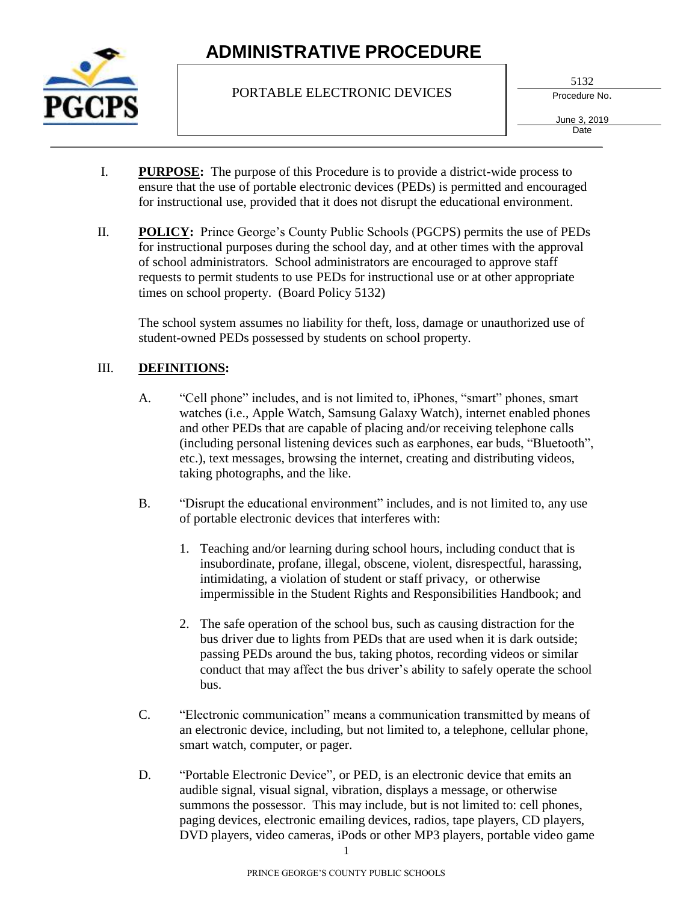

PORTABLE ELECTRONIC DEVICES

5132

Procedure No.

June 3, 2019 **Date** 

- I. **PURPOSE:** The purpose of this Procedure is to provide a district-wide process to ensure that the use of portable electronic devices (PEDs) is permitted and encouraged for instructional use, provided that it does not disrupt the educational environment.
- II. **POLICY:** Prince George's County Public Schools (PGCPS) permits the use of PEDs for instructional purposes during the school day, and at other times with the approval of school administrators. School administrators are encouraged to approve staff requests to permit students to use PEDs for instructional use or at other appropriate times on school property. (Board Policy 5132)

The school system assumes no liability for theft, loss, damage or unauthorized use of student-owned PEDs possessed by students on school property.

## III. **DEFINITIONS:**

- A. "Cell phone" includes, and is not limited to, iPhones, "smart" phones, smart watches (i.e., Apple Watch, Samsung Galaxy Watch), internet enabled phones and other PEDs that are capable of placing and/or receiving telephone calls (including personal listening devices such as earphones, ear buds, "Bluetooth", etc.), text messages, browsing the internet, creating and distributing videos, taking photographs, and the like.
- B. "Disrupt the educational environment" includes, and is not limited to, any use of portable electronic devices that interferes with:
	- 1. Teaching and/or learning during school hours, including conduct that is insubordinate, profane, illegal, obscene, violent, disrespectful, harassing, intimidating, a violation of student or staff privacy, or otherwise impermissible in the Student Rights and Responsibilities Handbook; and
	- 2. The safe operation of the school bus, such as causing distraction for the bus driver due to lights from PEDs that are used when it is dark outside; passing PEDs around the bus, taking photos, recording videos or similar conduct that may affect the bus driver's ability to safely operate the school bus.
- C. "Electronic communication" means a communication transmitted by means of an electronic device, including, but not limited to, a telephone, cellular phone, smart watch, computer, or pager.
- D. "Portable Electronic Device", or PED, is an electronic device that emits an audible signal, visual signal, vibration, displays a message, or otherwise summons the possessor. This may include, but is not limited to: cell phones, paging devices, electronic emailing devices, radios, tape players, CD players, DVD players, video cameras, iPods or other MP3 players, portable video game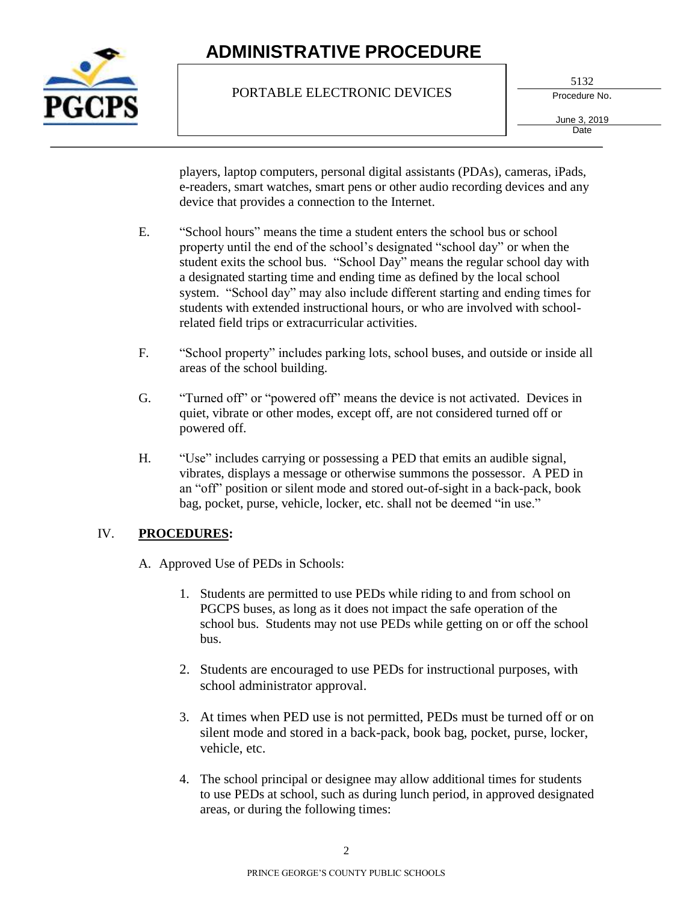

### PORTABLE ELECTRONIC DEVICES

5132

Procedure No.

June 3, 2019 **Date** 

players, laptop computers, personal digital assistants (PDAs), cameras, iPads, e-readers, smart watches, smart pens or other audio recording devices and any device that provides a connection to the Internet.

- E. "School hours" means the time a student enters the school bus or school property until the end of the school's designated "school day" or when the student exits the school bus. "School Day" means the regular school day with a designated starting time and ending time as defined by the local school system. "School day" may also include different starting and ending times for students with extended instructional hours, or who are involved with schoolrelated field trips or extracurricular activities.
- F. "School property" includes parking lots, school buses, and outside or inside all areas of the school building.
- G. "Turned off" or "powered off" means the device is not activated. Devices in quiet, vibrate or other modes, except off, are not considered turned off or powered off.
- H. "Use" includes carrying or possessing a PED that emits an audible signal, vibrates, displays a message or otherwise summons the possessor. A PED in an "off" position or silent mode and stored out-of-sight in a back-pack, book bag, pocket, purse, vehicle, locker, etc. shall not be deemed "in use."

### IV. **PROCEDURES:**

A. Approved Use of PEDs in Schools:

- 1. Students are permitted to use PEDs while riding to and from school on PGCPS buses, as long as it does not impact the safe operation of the school bus. Students may not use PEDs while getting on or off the school bus.
- 2. Students are encouraged to use PEDs for instructional purposes, with school administrator approval.
- 3. At times when PED use is not permitted, PEDs must be turned off or on silent mode and stored in a back-pack, book bag, pocket, purse, locker, vehicle, etc.
- 4. The school principal or designee may allow additional times for students to use PEDs at school, such as during lunch period, in approved designated areas, or during the following times: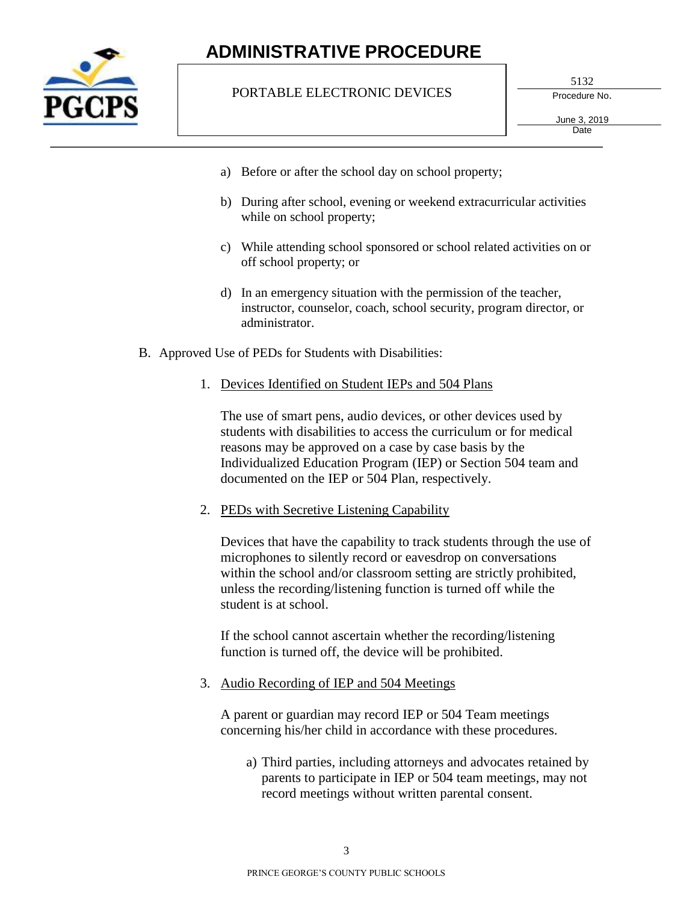

#### PORTABLE ELECTRONIC DEVICES

5132

Procedure No.

June 3, 2019 **Date** 

- a) Before or after the school day on school property;
- b) During after school, evening or weekend extracurricular activities while on school property;
- c) While attending school sponsored or school related activities on or off school property; or
- d) In an emergency situation with the permission of the teacher, instructor, counselor, coach, school security, program director, or administrator.
- B. Approved Use of PEDs for Students with Disabilities:
	- 1. Devices Identified on Student IEPs and 504 Plans

The use of smart pens, audio devices, or other devices used by students with disabilities to access the curriculum or for medical reasons may be approved on a case by case basis by the Individualized Education Program (IEP) or Section 504 team and documented on the IEP or 504 Plan, respectively.

2. PEDs with Secretive Listening Capability

Devices that have the capability to track students through the use of microphones to silently record or eavesdrop on conversations within the school and/or classroom setting are strictly prohibited, unless the recording/listening function is turned off while the student is at school.

If the school cannot ascertain whether the recording/listening function is turned off, the device will be prohibited.

3. Audio Recording of IEP and 504 Meetings

A parent or guardian may record IEP or 504 Team meetings concerning his/her child in accordance with these procedures.

a) Third parties, including attorneys and advocates retained by parents to participate in IEP or 504 team meetings, may not record meetings without written parental consent.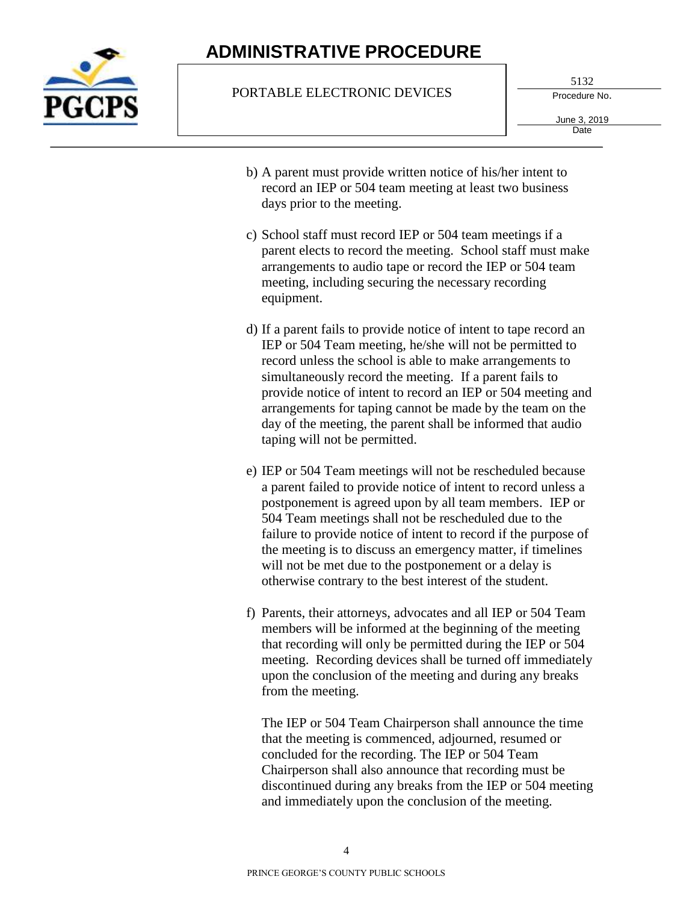

#### PORTABLE ELECTRONIC DEVICES

5132

Procedure No.

June 3, 2019 **Date** 

- b) A parent must provide written notice of his/her intent to record an IEP or 504 team meeting at least two business days prior to the meeting.
- c) School staff must record IEP or 504 team meetings if a parent elects to record the meeting. School staff must make arrangements to audio tape or record the IEP or 504 team meeting, including securing the necessary recording equipment.
- d) If a parent fails to provide notice of intent to tape record an IEP or 504 Team meeting, he/she will not be permitted to record unless the school is able to make arrangements to simultaneously record the meeting. If a parent fails to provide notice of intent to record an IEP or 504 meeting and arrangements for taping cannot be made by the team on the day of the meeting, the parent shall be informed that audio taping will not be permitted.
- e) IEP or 504 Team meetings will not be rescheduled because a parent failed to provide notice of intent to record unless a postponement is agreed upon by all team members. IEP or 504 Team meetings shall not be rescheduled due to the failure to provide notice of intent to record if the purpose of the meeting is to discuss an emergency matter, if timelines will not be met due to the postponement or a delay is otherwise contrary to the best interest of the student.
- f) Parents, their attorneys, advocates and all IEP or 504 Team members will be informed at the beginning of the meeting that recording will only be permitted during the IEP or 504 meeting. Recording devices shall be turned off immediately upon the conclusion of the meeting and during any breaks from the meeting.

The IEP or 504 Team Chairperson shall announce the time that the meeting is commenced, adjourned, resumed or concluded for the recording. The IEP or 504 Team Chairperson shall also announce that recording must be discontinued during any breaks from the IEP or 504 meeting and immediately upon the conclusion of the meeting.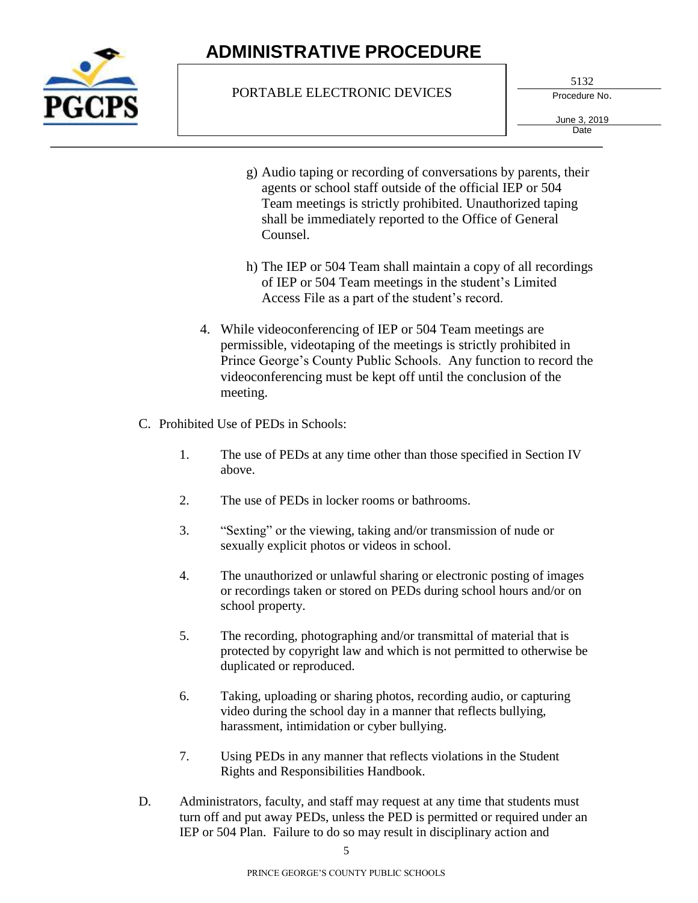

### PORTABLE ELECTRONIC DEVICES

5132

Procedure No.

June 3, 2019 **Date** 

- g) Audio taping or recording of conversations by parents, their agents or school staff outside of the official IEP or 504 Team meetings is strictly prohibited. Unauthorized taping shall be immediately reported to the Office of General Counsel.
- h) The IEP or 504 Team shall maintain a copy of all recordings of IEP or 504 Team meetings in the student's Limited Access File as a part of the student's record.
- 4. While videoconferencing of IEP or 504 Team meetings are permissible, videotaping of the meetings is strictly prohibited in Prince George's County Public Schools. Any function to record the videoconferencing must be kept off until the conclusion of the meeting.
- C. Prohibited Use of PEDs in Schools:
	- 1. The use of PEDs at any time other than those specified in Section IV above.
	- 2. The use of PEDs in locker rooms or bathrooms.
	- 3. "Sexting" or the viewing, taking and/or transmission of nude or sexually explicit photos or videos in school.
	- 4. The unauthorized or unlawful sharing or electronic posting of images or recordings taken or stored on PEDs during school hours and/or on school property.
	- 5. The recording, photographing and/or transmittal of material that is protected by copyright law and which is not permitted to otherwise be duplicated or reproduced.
	- 6. Taking, uploading or sharing photos, recording audio, or capturing video during the school day in a manner that reflects bullying, harassment, intimidation or cyber bullying.
	- 7. Using PEDs in any manner that reflects violations in the Student Rights and Responsibilities Handbook.
- D. Administrators, faculty, and staff may request at any time that students must turn off and put away PEDs, unless the PED is permitted or required under an IEP or 504 Plan. Failure to do so may result in disciplinary action and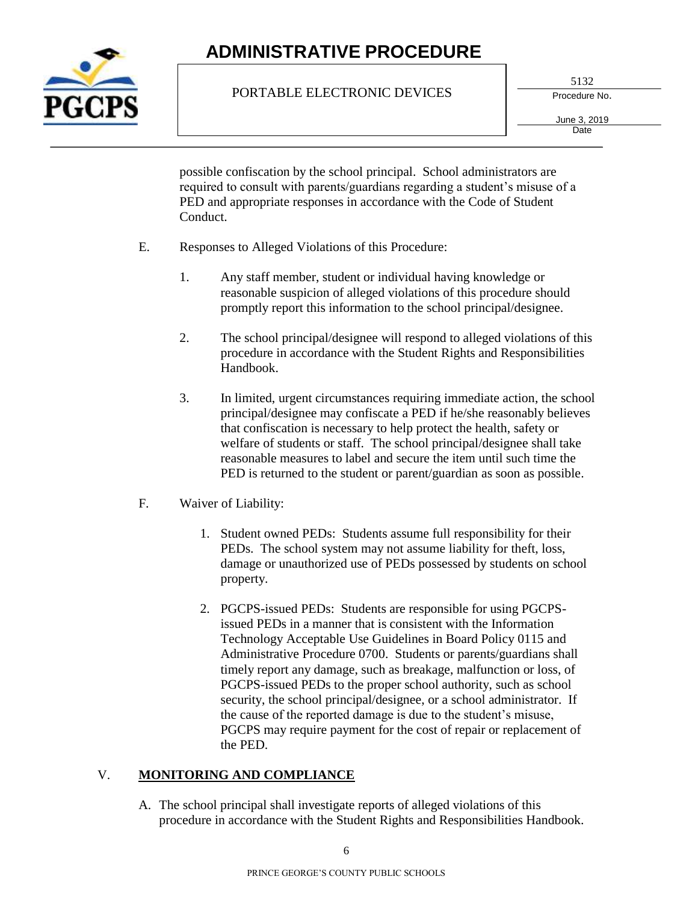

### PORTABLE ELECTRONIC DEVICES

5132

Procedure No.

June 3, 2019 **Date** 

possible confiscation by the school principal. School administrators are required to consult with parents/guardians regarding a student's misuse of a PED and appropriate responses in accordance with the Code of Student Conduct.

- E. Responses to Alleged Violations of this Procedure:
	- 1. Any staff member, student or individual having knowledge or reasonable suspicion of alleged violations of this procedure should promptly report this information to the school principal/designee.
	- 2. The school principal/designee will respond to alleged violations of this procedure in accordance with the Student Rights and Responsibilities Handbook.
	- 3. In limited, urgent circumstances requiring immediate action, the school principal/designee may confiscate a PED if he/she reasonably believes that confiscation is necessary to help protect the health, safety or welfare of students or staff. The school principal/designee shall take reasonable measures to label and secure the item until such time the PED is returned to the student or parent/guardian as soon as possible.
- F. Waiver of Liability:
	- 1. Student owned PEDs: Students assume full responsibility for their PEDs. The school system may not assume liability for theft, loss, damage or unauthorized use of PEDs possessed by students on school property.
	- 2. PGCPS-issued PEDs: Students are responsible for using PGCPSissued PEDs in a manner that is consistent with the Information Technology Acceptable Use Guidelines in Board Policy 0115 and Administrative Procedure 0700. Students or parents/guardians shall timely report any damage, such as breakage, malfunction or loss, of PGCPS-issued PEDs to the proper school authority, such as school security, the school principal/designee, or a school administrator. If the cause of the reported damage is due to the student's misuse, PGCPS may require payment for the cost of repair or replacement of the PED.

### V. **MONITORING AND COMPLIANCE**

A. The school principal shall investigate reports of alleged violations of this procedure in accordance with the Student Rights and Responsibilities Handbook.